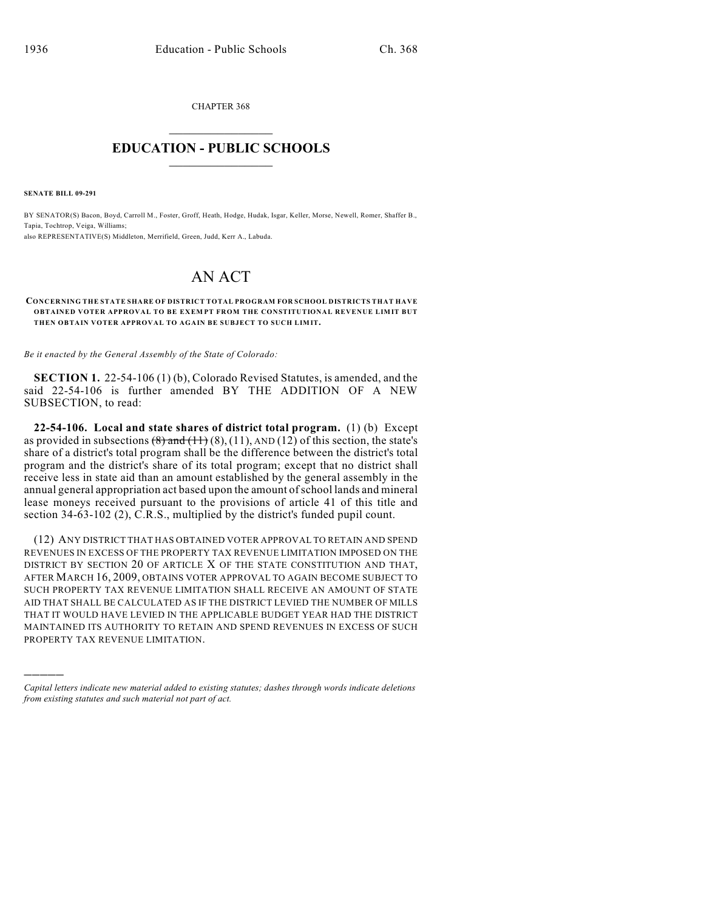CHAPTER 368  $\overline{\phantom{a}}$  . The set of the set of the set of the set of the set of the set of the set of the set of the set of the set of the set of the set of the set of the set of the set of the set of the set of the set of the set o

## **EDUCATION - PUBLIC SCHOOLS**  $\_$   $\_$   $\_$   $\_$   $\_$   $\_$   $\_$   $\_$   $\_$

**SENATE BILL 09-291**

)))))

BY SENATOR(S) Bacon, Boyd, Carroll M., Foster, Groff, Heath, Hodge, Hudak, Isgar, Keller, Morse, Newell, Romer, Shaffer B., Tapia, Tochtrop, Veiga, Williams; also REPRESENTATIVE(S) Middleton, Merrifield, Green, Judd, Kerr A., Labuda.

## AN ACT

## **CONCERNING THE STATE SHARE OF DISTRICT TOTAL PROGRAM FOR SCHOOL DISTRICTS THAT HAVE OBTAINED VOTER APPROVAL TO BE EXEMPT FROM THE CONSTITUTIONAL REVENUE LIMIT BUT THEN OBTAIN VOTER APPROVAL TO AGAIN BE SUBJECT TO SUCH LIMIT.**

*Be it enacted by the General Assembly of the State of Colorado:*

**SECTION 1.** 22-54-106 (1) (b), Colorado Revised Statutes, is amended, and the said 22-54-106 is further amended BY THE ADDITION OF A NEW SUBSECTION, to read:

**22-54-106. Local and state shares of district total program.** (1) (b) Except as provided in subsections  $(8)$  and  $(11)$   $(8)$ ,  $(11)$ ,  $AND(12)$  of this section, the state's share of a district's total program shall be the difference between the district's total program and the district's share of its total program; except that no district shall receive less in state aid than an amount established by the general assembly in the annual general appropriation act based upon the amount ofschool lands and mineral lease moneys received pursuant to the provisions of article 41 of this title and section 34-63-102 (2), C.R.S., multiplied by the district's funded pupil count.

(12) ANY DISTRICT THAT HAS OBTAINED VOTER APPROVAL TO RETAIN AND SPEND REVENUES IN EXCESS OF THE PROPERTY TAX REVENUE LIMITATION IMPOSED ON THE DISTRICT BY SECTION 20 OF ARTICLE X OF THE STATE CONSTITUTION AND THAT, AFTER MARCH 16, 2009, OBTAINS VOTER APPROVAL TO AGAIN BECOME SUBJECT TO SUCH PROPERTY TAX REVENUE LIMITATION SHALL RECEIVE AN AMOUNT OF STATE AID THAT SHALL BE CALCULATED AS IF THE DISTRICT LEVIED THE NUMBER OF MILLS THAT IT WOULD HAVE LEVIED IN THE APPLICABLE BUDGET YEAR HAD THE DISTRICT MAINTAINED ITS AUTHORITY TO RETAIN AND SPEND REVENUES IN EXCESS OF SUCH PROPERTY TAX REVENUE LIMITATION.

*Capital letters indicate new material added to existing statutes; dashes through words indicate deletions from existing statutes and such material not part of act.*